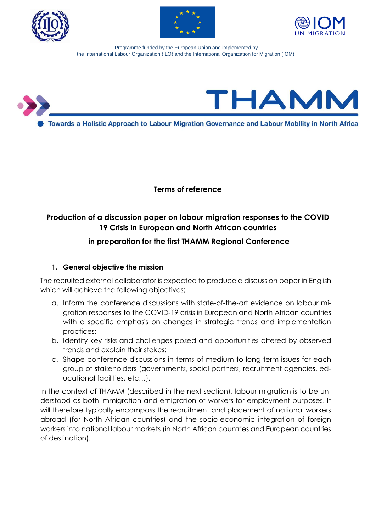





'Programme funded by the European Union and implemented by the International Labour Organization (ILO) and the International Organization for Migration (IOM)



**Terms of reference**

# **Production of a discussion paper on labour migration responses to the COVID 19 Crisis in European and North African countries**

# **in preparation for the first THAMM Regional Conference**

### **1. General objective the mission**

The recruited external collaborator is expected to produce a discussion paper in English which will achieve the following objectives;

- a. Inform the conference discussions with state-of-the-art evidence on labour migration responses to the COVID-19 crisis in European and North African countries with a specific emphasis on changes in strategic trends and implementation practices;
- b. Identify key risks and challenges posed and opportunities offered by observed trends and explain their stakes;
- c. Shape conference discussions in terms of medium to long term issues for each group of stakeholders (governments, social partners, recruitment agencies, educational facilities, etc…).

In the context of THAMM (described in the next section), labour migration is to be understood as both immigration and emigration of workers for employment purposes. It will therefore typically encompass the recruitment and placement of national workers abroad (for North African countries) and the socio-economic integration of foreign workers into national labour markets (in North African countries and European countries of destination).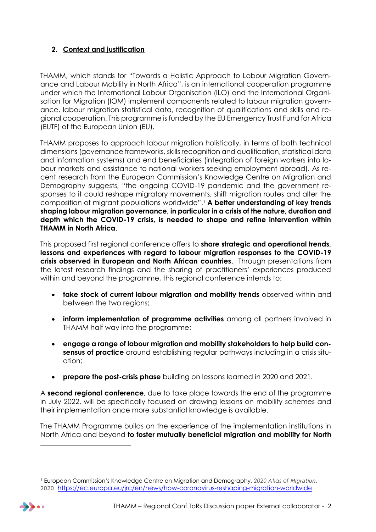# **2. Context and justification**

THAMM, which stands for "Towards a Holistic Approach to Labour Migration Governance and Labour Mobility in North Africa", is an international cooperation programme under which the International Labour Organisation (ILO) and the International Organisation for Migration (IOM) implement components related to labour migration governance, labour migration statistical data, recognition of qualifications and skills and regional cooperation. This programme is funded by the EU Emergency Trust Fund for Africa (EUTF) of the European Union (EU).

THAMM proposes to approach labour migration holistically, in terms of both technical dimensions (governance frameworks, skills recognition and qualification, statistical data and information systems) and end beneficiaries (integration of foreign workers into labour markets and assistance to national workers seeking employment abroad). As recent research from the European Commission's Knowledge Centre on Migration and Demography suggests, "the ongoing COVID-19 pandemic and the government responses to it could reshape migratory movements, shift migration routes and alter the composition of migrant populations worldwide".<sup>1</sup> **A better understanding of key trends shaping labour migration governance, in particular in a crisis of the nature, duration and depth which the COVID-19 crisis, is needed to shape and refine intervention within THAMM in North Africa**.

This proposed first regional conference offers to **share strategic and operational trends, lessons and experiences with regard to labour migration responses to the COVID-19 crisis observed in European and North African countries**. Through presentations from the latest research findings and the sharing of practitioners' experiences produced within and beyond the programme, this regional conference intends to:

- **take stock of current labour migration and mobility trends** observed within and between the two regions;
- **inform implementation of programme activities** among all partners involved in THAMM half way into the programme:
- **engage a range of labour migration and mobility stakeholders to help build consensus of practice** around establishing regular pathways including in a crisis situation;
- **prepare the post-crisis phase** building on lessons learned in 2020 and 2021.

A **second regional conference**, due to take place towards the end of the programme in July 2022, will be specifically focused on drawing lessons on mobility schemes and their implementation once more substantial knowledge is available.

The THAMM Programme builds on the experience of the implementation institutions in North Africa and beyond **to foster mutually beneficial migration and mobility for North** 

<sup>1</sup> European Commission's Knowledge Centre on Migration and Demography, *2020 Atlas of Migration*. 2020 <https://ec.europa.eu/jrc/en/news/how-coronavirus-reshaping-migration-worldwide>



l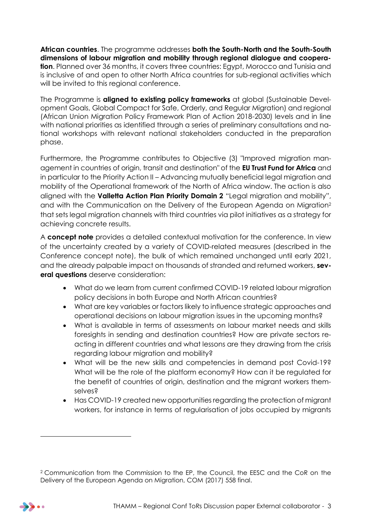**African countries**. The programme addresses **both the South-North and the South-South dimensions of labour migration and mobility through regional dialogue and cooperation**. Planned over 36 months, it covers three countries: Egypt, Morocco and Tunisia and is inclusive of and open to other North Africa countries for sub-regional activities which will be invited to this regional conference.

The Programme is **aligned to existing policy frameworks** at global (Sustainable Development Goals, Global Compact for Safe, Orderly, and Regular Migration) and regional (African Union Migration Policy Framework Plan of Action 2018-2030) levels and in line with national priorities as identified through a series of preliminary consultations and national workshops with relevant national stakeholders conducted in the preparation phase.

Furthermore, the Programme contributes to Objective (3) "Improved migration management in countries of origin, transit and destination" of the **EU Trust Fund for Africa** and in particular to the Priority Action II – Advancing mutually beneficial legal migration and mobility of the Operational framework of the North of Africa window. The action is also aligned with the **Valletta Action Plan Priority Domain 2** "Legal migration and mobility", and with the Communication on the Delivery of the European Agenda on Migration<sup>2</sup> that sets legal migration channels with third countries via pilot initiatives as a strategy for achieving concrete results.

A **concept note** provides a detailed contextual motivation for the conference. In view of the uncertainty created by a variety of COVID-related measures (described in the Conference concept note), the bulk of which remained unchanged until early 2021, and the already palpable impact on thousands of stranded and returned workers, **several questions** deserve consideration:

- What do we learn from current confirmed COVID-19 related labour migration policy decisions in both Europe and North African countries?
- What are key variables or factors likely to influence strategic approaches and operational decisions on labour migration issues in the upcoming months?
- What is available in terms of assessments on labour market needs and skills foresights in sending and destination countries? How are private sectors reacting in different countries and what lessons are they drawing from the crisis regarding labour migration and mobility?
- What will be the new skills and competencies in demand post Covid-19? What will be the role of the platform economy? How can it be regulated for the benefit of countries of origin, destination and the migrant workers themselves?
- Has COVID-19 created new opportunities regarding the protection of migrant workers, for instance in terms of regularisation of jobs occupied by migrants

l

<sup>2</sup> Communication from the Commission to the EP, the Council, the EESC and the CoR on the Delivery of the European Agenda on Migration, COM (2017) 558 final.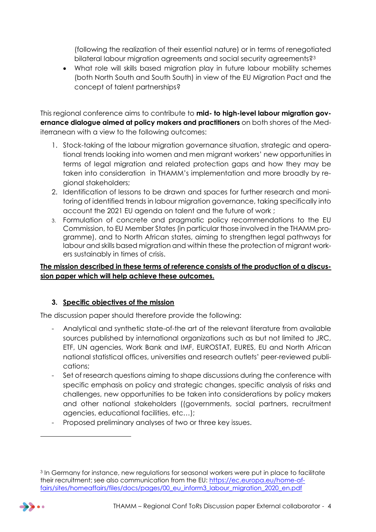(following the realization of their essential nature) or in terms of renegotiated bilateral labour migration agreements and social security agreements?<sup>3</sup>

 What role will skills based migration play in future labour mobility schemes (both North South and South South) in view of the EU Migration Pact and the concept of talent partnerships?

This regional conference aims to contribute to **mid- to high-level labour migration governance dialogue aimed at policy makers and practitioners** on both shores of the Mediterranean with a view to the following outcomes:

- 1. Stock-taking of the labour migration governance situation, strategic and operational trends looking into women and men migrant workers' new opportunities in terms of legal migration and related protection gaps and how they may be taken into consideration in THAMM's implementation and more broadly by regional stakeholders;
- 2. Identification of lessons to be drawn and spaces for further research and monitoring of identified trends in labour migration governance, taking specifically into account the 2021 EU agenda on talent and the future of work ;
- 3. Formulation of concrete and pragmatic policy recommendations to the EU Commission, to EU Member States (in particular those involved in the THAMM programme), and to North African states, aiming to strengthen legal pathways for labour and skills based migration and within these the protection of migrant workers sustainably in times of crisis.

**The mission described in these terms of reference consists of the production of a discussion paper which will help achieve these outcomes.**

# **3. Specific objectives of the mission**

The discussion paper should therefore provide the following:

- Analytical and synthetic state-of-the art of the relevant literature from available sources published by international organizations such as but not limited to JRC, ETF, UN agencies, Work Bank and IMF, EUROSTAT, EURES, EU and North African national statistical offices, universities and research outlets' peer-reviewed publications;
- Set of research questions aiming to shape discussions during the conference with specific emphasis on policy and strategic changes, specific analysis of risks and challenges, new opportunities to be taken into considerations by policy makers and other national stakeholders ((governments, social partners, recruitment agencies, educational facilities, etc…);
- Proposed preliminary analyses of two or three key issues.

<sup>&</sup>lt;sup>3</sup> In Germany for instance, new regulations for seasonal workers were put in place to facilitate their recruitment; see also communication from the EU: [https://ec.europa.eu/home-af](https://ec.europa.eu/home-affairs/sites/homeaffairs/files/docs/pages/00_eu_inform3_labour_migration_2020_en.pdf)[fairs/sites/homeaffairs/files/docs/pages/00\\_eu\\_inform3\\_labour\\_migration\\_2020\\_en.pdf](https://ec.europa.eu/home-affairs/sites/homeaffairs/files/docs/pages/00_eu_inform3_labour_migration_2020_en.pdf)



l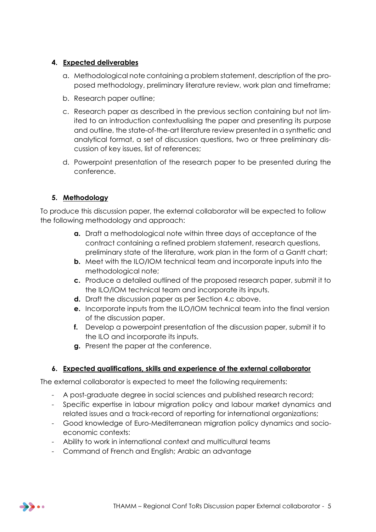### **4. Expected deliverables**

- a. Methodological note containing a problem statement, description of the proposed methodology, preliminary literature review, work plan and timeframe;
- b. Research paper outline;
- c. Research paper as described in the previous section containing but not limited to an introduction contextualising the paper and presenting its purpose and outline, the state-of-the-art literature review presented in a synthetic and analytical format, a set of discussion questions, two or three preliminary discussion of key issues, list of references;
- d. Powerpoint presentation of the research paper to be presented during the conference.

# **5. Methodology**

To produce this discussion paper, the external collaborator will be expected to follow the following methodology and approach:

- **a.** Draft a methodological note within three days of acceptance of the contract containing a refined problem statement, research questions, preliminary state of the literature, work plan in the form of a Gantt chart;
- **b.** Meet with the ILO/IOM technical team and incorporate inputs into the methodological note;
- **c.** Produce a detailed outlined of the proposed research paper, submit it to the ILO/IOM technical team and incorporate its inputs.
- **d.** Draft the discussion paper as per Section 4.c above.
- **e.** Incorporate inputs from the ILO/IOM technical team into the final version of the discussion paper.
- **f.** Develop a powerpoint presentation of the discussion paper, submit it to the ILO and incorporate its inputs.
- **g.** Present the paper at the conference.

### **6. Expected qualifications, skills and experience of the external collaborator**

The external collaborator is expected to meet the following requirements:

- A post-graduate degree in social sciences and published research record;
- Specific expertise in labour migration policy and labour market dynamics and related issues and a track-record of reporting for international organizations;
- Good knowledge of Euro-Mediterranean migration policy dynamics and socioeconomic contexts:
- Ability to work in international context and multicultural teams
- Command of French and English; Arabic an advantage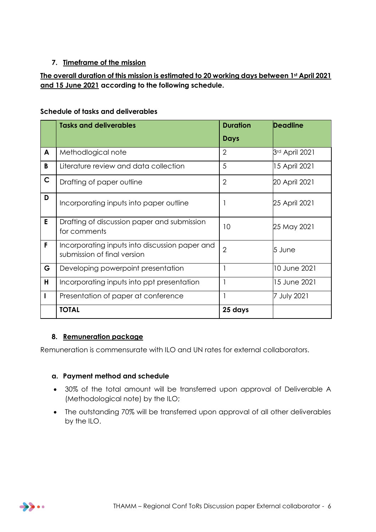# **7. Timeframe of the mission**

# **The overall duration of this mission is estimated to 20 working days between 1st April 2021 and 15 June 2021 according to the following schedule.**

#### **Schedule of tasks and deliverables**

|              | <b>Tasks and deliverables</b>                                                 | <b>Duration</b> | <b>Deadline</b> |
|--------------|-------------------------------------------------------------------------------|-----------------|-----------------|
|              |                                                                               | <b>Days</b>     |                 |
| A            | Methodlogical note                                                            | $\overline{2}$  | 3rd April 2021  |
| B            | Literature review and data collection                                         | 5               | 15 April 2021   |
| $\mathsf{C}$ | Drafting of paper outline                                                     | $\mathbf{2}$    | 20 April 2021   |
| D            | Incorporating inputs into paper outline                                       |                 | 25 April 2021   |
| E            | Drafting of discussion paper and submission<br>for comments                   | 10              | 25 May 2021     |
| F            | Incorporating inputs into discussion paper and<br>submission of final version | $\overline{2}$  | 5 June          |
| G            | Developing powerpoint presentation                                            |                 | 10 June 2021    |
| н            | Incorporating inputs into ppt presentation                                    |                 | 15 June 2021    |
|              | Presentation of paper at conference                                           |                 | 7 July 2021     |
|              | <b>TOTAL</b>                                                                  | 25 days         |                 |

### **8. Remuneration package**

Remuneration is commensurate with ILO and UN rates for external collaborators.

#### **a. Payment method and schedule**

- 30% of the total amount will be transferred upon approval of Deliverable A (Methodological note) by the ILO;
- The outstanding 70% will be transferred upon approval of all other deliverables by the ILO.